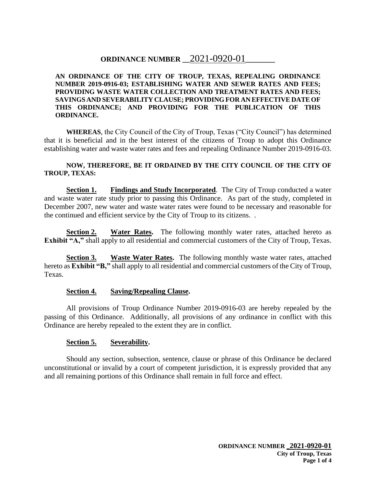## **ORDINANCE NUMBER 2021-0920-01**

#### **AN ORDINANCE OF THE CITY OF TROUP, TEXAS, REPEALING ORDINANCE NUMBER 2019-0916-03; ESTABLISHING WATER AND SEWER RATES AND FEES; PROVIDING WASTE WATER COLLECTION AND TREATMENT RATES AND FEES; SAVINGS AND SEVERABILITY CLAUSE; PROVIDING FOR AN EFFECTIVE DATEOF THIS ORDINANCE; AND PROVIDING FOR THE PUBLICATION OF THIS ORDINANCE.**

**WHEREAS**, the City Council of the City of Troup, Texas ("City Council") has determined that it is beneficial and in the best interest of the citizens of Troup to adopt this Ordinance establishing water and waste water rates and fees and repealing Ordinance Number 2019-0916-03.

### **NOW, THEREFORE, BE IT ORDAINED BY THE CITY COUNCIL OF THE CITY OF TROUP, TEXAS:**

**Section 1. Findings and Study Incorporated**. The City of Troup conducted a water and waste water rate study prior to passing this Ordinance. As part of the study, completed in December 2007, new water and waste water rates were found to be necessary and reasonable for the continued and efficient service by the City of Troup to its citizens. .

**Section 2. Water Rates.** The following monthly water rates, attached hereto as **Exhibit "A,"** shall apply to all residential and commercial customers of the City of Troup, Texas.

**Section 3. Waste Water Rates.** The following monthly waste water rates, attached hereto as **Exhibit "B,"** shall apply to all residential and commercial customers of the City of Troup, Texas.

#### **Section 4. Saving/Repealing Clause.**

All provisions of Troup Ordinance Number 2019-0916-03 are hereby repealed by the passing of this Ordinance. Additionally, all provisions of any ordinance in conflict with this Ordinance are hereby repealed to the extent they are in conflict.

#### **Section 5. Severability.**

Should any section, subsection, sentence, clause or phrase of this Ordinance be declared unconstitutional or invalid by a court of competent jurisdiction, it is expressly provided that any and all remaining portions of this Ordinance shall remain in full force and effect.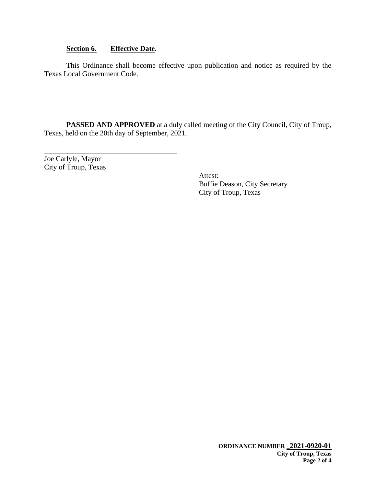### **Section 6. Effective Date.**

This Ordinance shall become effective upon publication and notice as required by the Texas Local Government Code.

**PASSED AND APPROVED** at a duly called meeting of the City Council, City of Troup, Texas, held on the 20th day of September, 2021.

Joe Carlyle, Mayor City of Troup, Texas

Attest:

Buffie Deason, City Secretary City of Troup, Texas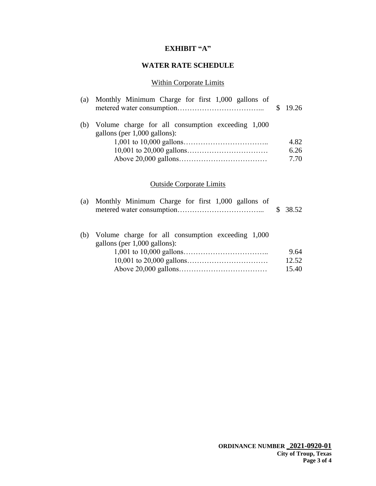# **EXHIBIT "A"**

### **WATER RATE SCHEDULE**

# Within Corporate Limits

| (a) | Monthly Minimum Charge for first 1,000 gallons of                                     |      |
|-----|---------------------------------------------------------------------------------------|------|
|     | (b) Volume charge for all consumption exceeding 1,000<br>gallons (per 1,000 gallons): |      |
|     |                                                                                       | 4.82 |
|     |                                                                                       | 6.26 |
|     |                                                                                       | 7.70 |
|     |                                                                                       |      |

# Outside Corporate Limits

| (a) | Monthly Minimum Charge for first 1,000 gallons of                                 | \$38.52 |
|-----|-----------------------------------------------------------------------------------|---------|
| (b) | Volume charge for all consumption exceeding 1,000<br>gallons (per 1,000 gallons): |         |
|     |                                                                                   | 9.64    |
|     |                                                                                   | 12.52   |
|     |                                                                                   | 15.40   |